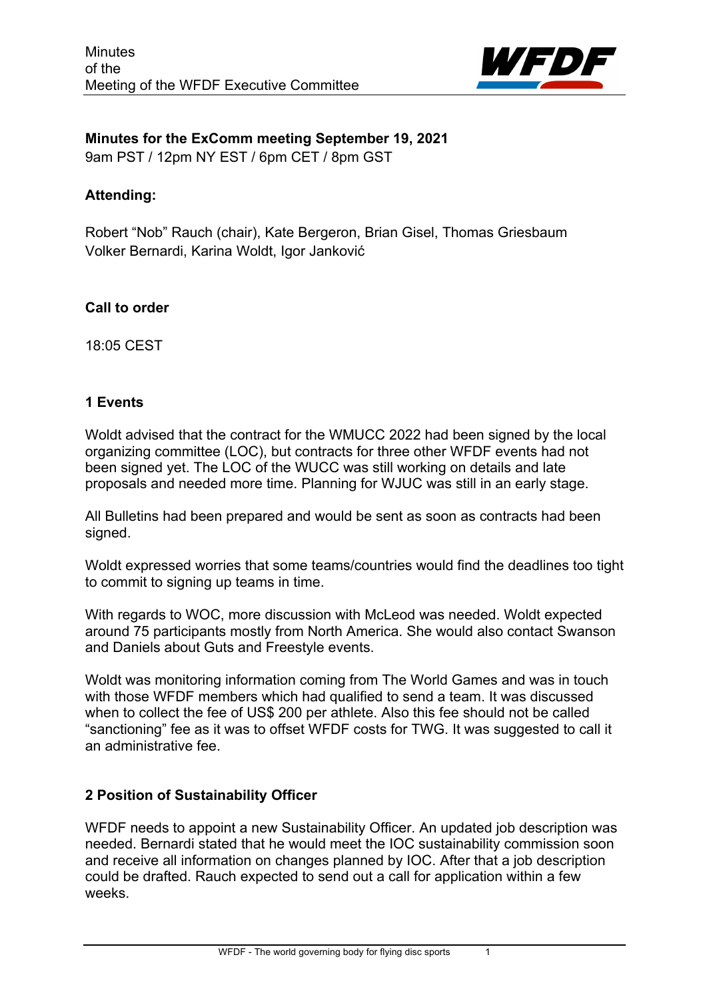

# **Minutes for the ExComm meeting September 19, 2021**

9am PST / 12pm NY EST / 6pm CET / 8pm GST

## **Attending:**

Robert "Nob" Rauch (chair), Kate Bergeron, Brian Gisel, Thomas Griesbaum Volker Bernardi, Karina Woldt, Igor Janković

### **Call to order**

18:05 CEST

### **1 Events**

Woldt advised that the contract for the WMUCC 2022 had been signed by the local organizing committee (LOC), but contracts for three other WFDF events had not been signed yet. The LOC of the WUCC was still working on details and late proposals and needed more time. Planning for WJUC was still in an early stage.

All Bulletins had been prepared and would be sent as soon as contracts had been signed.

Woldt expressed worries that some teams/countries would find the deadlines too tight to commit to signing up teams in time.

With regards to WOC, more discussion with McLeod was needed. Woldt expected around 75 participants mostly from North America. She would also contact Swanson and Daniels about Guts and Freestyle events.

Woldt was monitoring information coming from The World Games and was in touch with those WFDF members which had qualified to send a team. It was discussed when to collect the fee of US\$ 200 per athlete. Also this fee should not be called "sanctioning" fee as it was to offset WFDF costs for TWG. It was suggested to call it an administrative fee.

### **2 Position of Sustainability Officer**

WFDF needs to appoint a new Sustainability Officer. An updated job description was needed. Bernardi stated that he would meet the IOC sustainability commission soon and receive all information on changes planned by IOC. After that a job description could be drafted. Rauch expected to send out a call for application within a few weeks.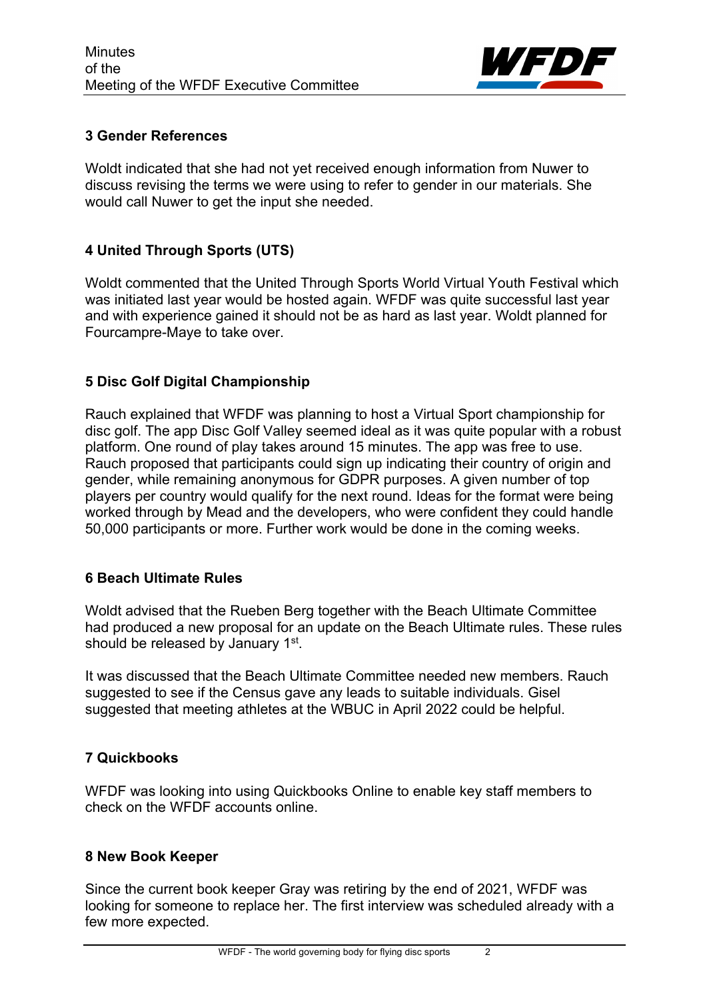

## **3 Gender References**

Woldt indicated that she had not yet received enough information from Nuwer to discuss revising the terms we were using to refer to gender in our materials. She would call Nuwer to get the input she needed.

# **4 United Through Sports (UTS)**

Woldt commented that the United Through Sports World Virtual Youth Festival which was initiated last year would be hosted again. WFDF was quite successful last year and with experience gained it should not be as hard as last year. Woldt planned for Fourcampre-Maye to take over.

# **5 Disc Golf Digital Championship**

Rauch explained that WFDF was planning to host a Virtual Sport championship for disc golf. The app Disc Golf Valley seemed ideal as it was quite popular with a robust platform. One round of play takes around 15 minutes. The app was free to use. Rauch proposed that participants could sign up indicating their country of origin and gender, while remaining anonymous for GDPR purposes. A given number of top players per country would qualify for the next round. Ideas for the format were being worked through by Mead and the developers, who were confident they could handle 50,000 participants or more. Further work would be done in the coming weeks.

### **6 Beach Ultimate Rules**

Woldt advised that the Rueben Berg together with the Beach Ultimate Committee had produced a new proposal for an update on the Beach Ultimate rules. These rules should be released by January 1<sup>st</sup>.

It was discussed that the Beach Ultimate Committee needed new members. Rauch suggested to see if the Census gave any leads to suitable individuals. Gisel suggested that meeting athletes at the WBUC in April 2022 could be helpful.

### **7 Quickbooks**

WFDF was looking into using Quickbooks Online to enable key staff members to check on the WFDF accounts online.

### **8 New Book Keeper**

Since the current book keeper Gray was retiring by the end of 2021, WFDF was looking for someone to replace her. The first interview was scheduled already with a few more expected.